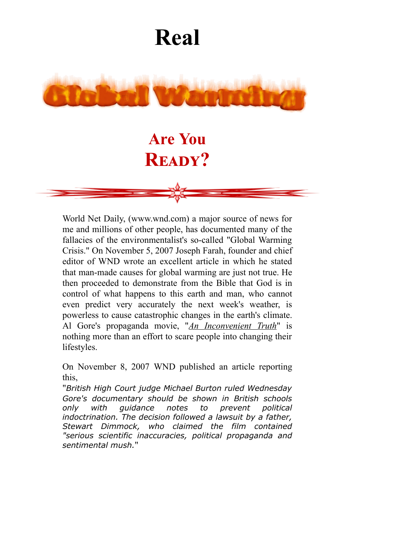## **Real**



## **Are You READY?**

World Net Daily, (www.wnd.com) a major source of news for me and millions of other people, has documented many of the fallacies of the environmentalist's so-called "Global Warming Crisis." On November 5, 2007 Joseph Farah, founder and chief editor of WND wrote an excellent article in which he stated that man-made causes for global warming are just not true. He then proceeded to demonstrate from the Bible that God is in control of what happens to this earth and man, who cannot even predict very accurately the next week's weather, is powerless to cause catastrophic changes in the earth's climate. Al Gore's propaganda movie, "*An Inconvenient Truth*" is nothing more than an effort to scare people into changing their lifestyles.

On November 8, 2007 WND published an article reporting this,

"*British High Court judge Michael Burton ruled Wednesday Gore's documentary should be shown in British schools only with guidance notes to prevent political indoctrination. The decision followed a lawsuit by a father, Stewart Dimmock, who claimed the film contained "serious scientific inaccuracies, political propaganda and sentimental mush.*"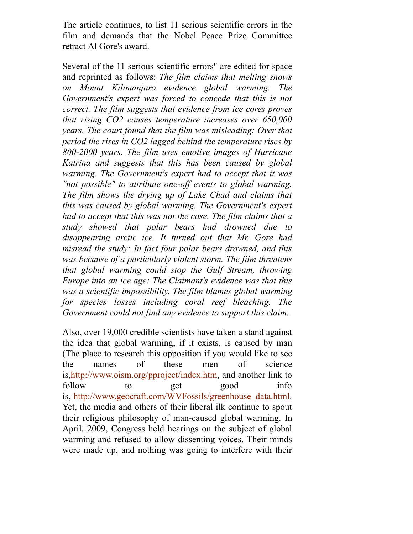The article continues, to list 11 serious scientific errors in the film and demands that the Nobel Peace Prize Committee retract Al Gore's award.

Several of the 11 serious scientific errors" are edited for space and reprinted as follows: *The film claims that melting snows on Mount Kilimanjaro evidence global warming. The Government's expert was forced to concede that this is not correct. The film suggests that evidence from ice cores proves that rising CO2 causes temperature increases over 650,000 years. The court found that the film was misleading: Over that period the rises in CO2 lagged behind the temperature rises by 800-2000 years. The film uses emotive images of Hurricane Katrina and suggests that this has been caused by global warming. The Government's expert had to accept that it was "not possible" to attribute one-of events to global warming. The film shows the drying up of Lake Chad and claims that this was caused by global warming. The Government's expert had to accept that this was not the case. The film claims that a study showed that polar bears had drowned due to disappearing arctic ice. It turned out that Mr. Gore had misread the study: In fact four polar bears drowned, and this was because of a particularly violent storm. The film threatens that global warming could stop the Gulf Stream, throwing Europe into an ice age: The Claimant's evidence was that this was a scientific impossibility. The film blames global warming for species losses including coral reef bleaching. The Government could not find any evidence to support this claim.*

Also, over 19,000 credible scientists have taken a stand against the idea that global warming, if it exists, is caused by man (The place to research this opposition if you would like to see the names of these men of science is,<http://www.oism.org/pproject/index.htm>, and another link to follow to get good info is, [http://www.geocraft.com/WVFossils/greenhouse\\_data.html.](http://www.geocraft.com/WVFossils/greenhouse_data.html) Yet, the media and others of their liberal ilk continue to spout their religious philosophy of man-caused global warming. In April, 2009, Congress held hearings on the subject of global warming and refused to allow dissenting voices. Their minds were made up, and nothing was going to interfere with their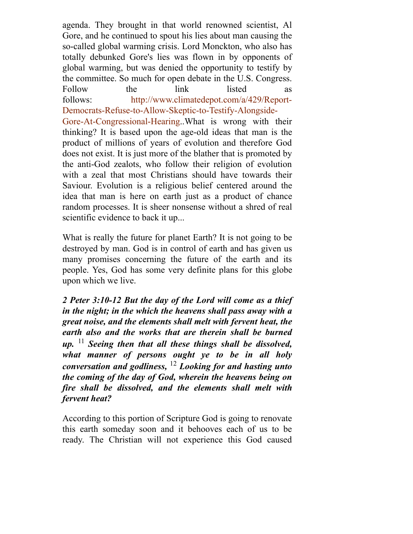agenda. They brought in that world renowned scientist, Al Gore, and he continued to spout his lies about man causing the so-called global warming crisis. Lord Monckton, who also has totally debunked Gore's lies was flown in by opponents of global warming, but was denied the opportunity to testify by the committee. So much for open debate in the U.S. Congress. Follow the link listed as follows: http://www.climatedepot.com/a/429/Report-[Democrats-Refuse-to-Allow-Skeptic-to-Testify-Alongside-](http://www.climatedepot.com/a/429/Report-Democrats-Refuse-to-Allow-Skeptic-to-Testify-Alongside-Gore-At-Congressional-Hearing)Gore-At-Congressional-Hearing..What is wrong with their thinking? It is based upon the age-old ideas that man is the product of millions of years of evolution and therefore God does not exist. It is just more of the blather that is promoted by the anti-God zealots, who follow their religion of evolution with a zeal that most Christians should have towards their Saviour. Evolution is a religious belief centered around the idea that man is here on earth just as a product of chance random processes. It is sheer nonsense without a shred of real scientific evidence to back it up...

What is really the future for planet Earth? It is not going to be destroyed by man. God is in control of earth and has given us many promises concerning the future of the earth and its people. Yes, God has some very definite plans for this globe upon which we live.

*2 Peter 3:10-12 But the day of the Lord will come as a thief in the night; in the which the heavens shall pass away with a great noise, and the elements shall melt with fervent heat, the earth also and the works that are therein shall be burned up.* <sup>11</sup> *Seeing then that all these things shall be dissolved, what manner of persons ought ye to be in all holy conversation and godliness,* <sup>12</sup> *Looking for and hasting unto the coming of the day of God, wherein the heavens being on fire shall be dissolved, and the elements shall melt with fervent heat?*

According to this portion of Scripture God is going to renovate this earth someday soon and it behooves each of us to be ready. The Christian will not experience this God caused